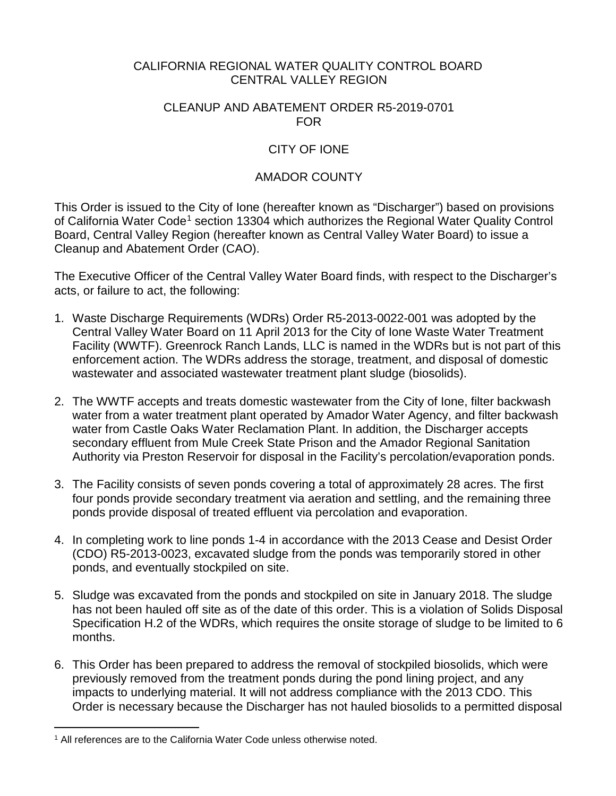### CALIFORNIA REGIONAL WATER QUALITY CONTROL BOARD CENTRAL VALLEY REGION

#### CLEANUP AND ABATEMENT ORDER R5-2019-0701 FOR

# CITY OF IONE

### AMADOR COUNTY

This Order is issued to the City of Ione (hereafter known as "Discharger") based on provisions of California Water Code<sup>[1](#page-0-0)</sup> section 13304 which authorizes the Regional Water Quality Control Board, Central Valley Region (hereafter known as Central Valley Water Board) to issue a Cleanup and Abatement Order (CAO).

The Executive Officer of the Central Valley Water Board finds, with respect to the Discharger's acts, or failure to act, the following:

- 1. Waste Discharge Requirements (WDRs) Order R5-2013-0022-001 was adopted by the Central Valley Water Board on 11 April 2013 for the City of Ione Waste Water Treatment Facility (WWTF). Greenrock Ranch Lands, LLC is named in the WDRs but is not part of this enforcement action. The WDRs address the storage, treatment, and disposal of domestic wastewater and associated wastewater treatment plant sludge (biosolids).
- 2. The WWTF accepts and treats domestic wastewater from the City of Ione, filter backwash water from a water treatment plant operated by Amador Water Agency, and filter backwash water from Castle Oaks Water Reclamation Plant. In addition, the Discharger accepts secondary effluent from Mule Creek State Prison and the Amador Regional Sanitation Authority via Preston Reservoir for disposal in the Facility's percolation/evaporation ponds.
- 3. The Facility consists of seven ponds covering a total of approximately 28 acres. The first four ponds provide secondary treatment via aeration and settling, and the remaining three ponds provide disposal of treated effluent via percolation and evaporation.
- 4. In completing work to line ponds 1-4 in accordance with the 2013 Cease and Desist Order (CDO) R5-2013-0023, excavated sludge from the ponds was temporarily stored in other ponds, and eventually stockpiled on site.
- 5. Sludge was excavated from the ponds and stockpiled on site in January 2018. The sludge has not been hauled off site as of the date of this order. This is a violation of Solids Disposal Specification H.2 of the WDRs, which requires the onsite storage of sludge to be limited to 6 months.
- 6. This Order has been prepared to address the removal of stockpiled biosolids, which were previously removed from the treatment ponds during the pond lining project, and any impacts to underlying material. It will not address compliance with the 2013 CDO. This Order is necessary because the Discharger has not hauled biosolids to a permitted disposal

<span id="page-0-0"></span> $\overline{a}$ <sup>1</sup> All references are to the California Water Code unless otherwise noted.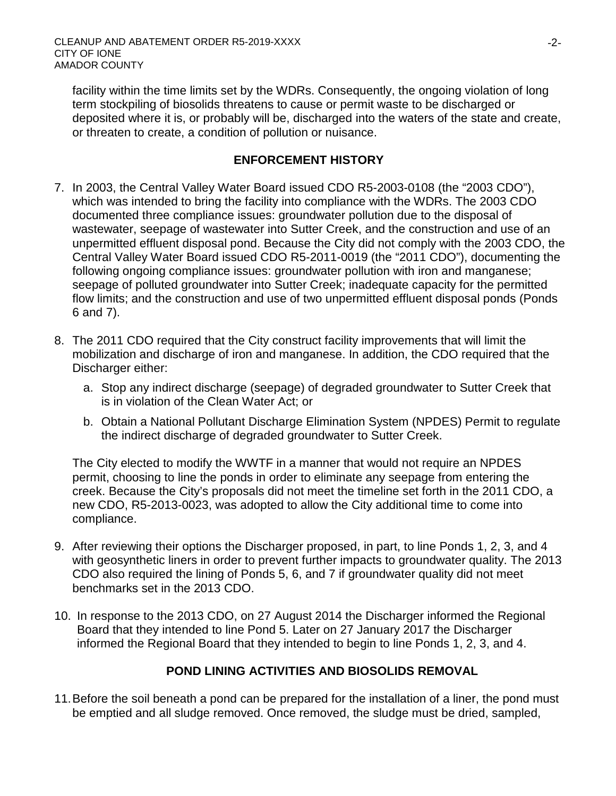facility within the time limits set by the WDRs. Consequently, the ongoing violation of long term stockpiling of biosolids threatens to cause or permit waste to be discharged or deposited where it is, or probably will be, discharged into the waters of the state and create, or threaten to create, a condition of pollution or nuisance.

### **ENFORCEMENT HISTORY**

- 7. In 2003, the Central Valley Water Board issued CDO R5-2003-0108 (the "2003 CDO"), which was intended to bring the facility into compliance with the WDRs. The 2003 CDO documented three compliance issues: groundwater pollution due to the disposal of wastewater, seepage of wastewater into Sutter Creek, and the construction and use of an unpermitted effluent disposal pond. Because the City did not comply with the 2003 CDO, the Central Valley Water Board issued CDO R5-2011-0019 (the "2011 CDO"), documenting the following ongoing compliance issues: groundwater pollution with iron and manganese; seepage of polluted groundwater into Sutter Creek; inadequate capacity for the permitted flow limits; and the construction and use of two unpermitted effluent disposal ponds (Ponds 6 and 7).
- 8. The 2011 CDO required that the City construct facility improvements that will limit the mobilization and discharge of iron and manganese. In addition, the CDO required that the Discharger either:
	- a. Stop any indirect discharge (seepage) of degraded groundwater to Sutter Creek that is in violation of the Clean Water Act; or
	- b. Obtain a National Pollutant Discharge Elimination System (NPDES) Permit to regulate the indirect discharge of degraded groundwater to Sutter Creek.

The City elected to modify the WWTF in a manner that would not require an NPDES permit, choosing to line the ponds in order to eliminate any seepage from entering the creek. Because the City's proposals did not meet the timeline set forth in the 2011 CDO, a new CDO, R5-2013-0023, was adopted to allow the City additional time to come into compliance.

- 9. After reviewing their options the Discharger proposed, in part, to line Ponds 1, 2, 3, and 4 with geosynthetic liners in order to prevent further impacts to groundwater quality. The 2013 CDO also required the lining of Ponds 5, 6, and 7 if groundwater quality did not meet benchmarks set in the 2013 CDO.
- 10. In response to the 2013 CDO, on 27 August 2014 the Discharger informed the Regional Board that they intended to line Pond 5. Later on 27 January 2017 the Discharger informed the Regional Board that they intended to begin to line Ponds 1, 2, 3, and 4.

# **POND LINING ACTIVITIES AND BIOSOLIDS REMOVAL**

11.Before the soil beneath a pond can be prepared for the installation of a liner, the pond must be emptied and all sludge removed. Once removed, the sludge must be dried, sampled,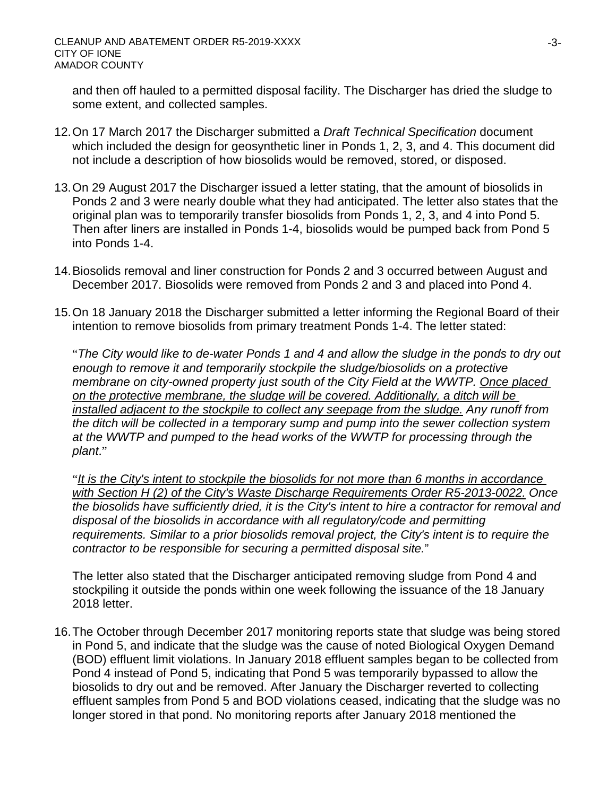and then off hauled to a permitted disposal facility. The Discharger has dried the sludge to some extent, and collected samples.

- 12.On 17 March 2017 the Discharger submitted a *Draft Technical Specification* document which included the design for geosynthetic liner in Ponds 1, 2, 3, and 4. This document did not include a description of how biosolids would be removed, stored, or disposed.
- 13.On 29 August 2017 the Discharger issued a letter stating, that the amount of biosolids in Ponds 2 and 3 were nearly double what they had anticipated. The letter also states that the original plan was to temporarily transfer biosolids from Ponds 1, 2, 3, and 4 into Pond 5. Then after liners are installed in Ponds 1-4, biosolids would be pumped back from Pond 5 into Ponds 1-4.
- 14.Biosolids removal and liner construction for Ponds 2 and 3 occurred between August and December 2017. Biosolids were removed from Ponds 2 and 3 and placed into Pond 4.
- 15.On 18 January 2018 the Discharger submitted a letter informing the Regional Board of their intention to remove biosolids from primary treatment Ponds 1-4. The letter stated:

"*The City would like to de-water Ponds 1 and 4 and allow the sludge in the ponds to dry out enough to remove it and temporarily stockpile the sludge/biosolids on a protective membrane on city-owned property just south of the City Field at the WWTP. Once placed on the protective membrane, the sludge will be covered. Additionally, a ditch will be installed adjacent to the stockpile to collect any seepage from the sludge. Any runoff from the ditch will be collected in a temporary sump and pump into the sewer collection system at the WWTP and pumped to the head works of the WWTP for processing through the plant*."

"*It is the City's intent to stockpile the biosolids for not more than 6 months in accordance with Section H (2) of the City's Waste Discharge Requirements Order R5-2013-0022. Once the biosolids have sufficiently dried, it is the City's intent to hire a contractor for removal and disposal of the biosolids in accordance with all regulatory/code and permitting requirements. Similar to a prior biosolids removal project, the City's intent is to require the contractor to be responsible for securing a permitted disposal site.*"

The letter also stated that the Discharger anticipated removing sludge from Pond 4 and stockpiling it outside the ponds within one week following the issuance of the 18 January 2018 letter.

16.The October through December 2017 monitoring reports state that sludge was being stored in Pond 5, and indicate that the sludge was the cause of noted Biological Oxygen Demand (BOD) effluent limit violations. In January 2018 effluent samples began to be collected from Pond 4 instead of Pond 5, indicating that Pond 5 was temporarily bypassed to allow the biosolids to dry out and be removed. After January the Discharger reverted to collecting effluent samples from Pond 5 and BOD violations ceased, indicating that the sludge was no longer stored in that pond. No monitoring reports after January 2018 mentioned the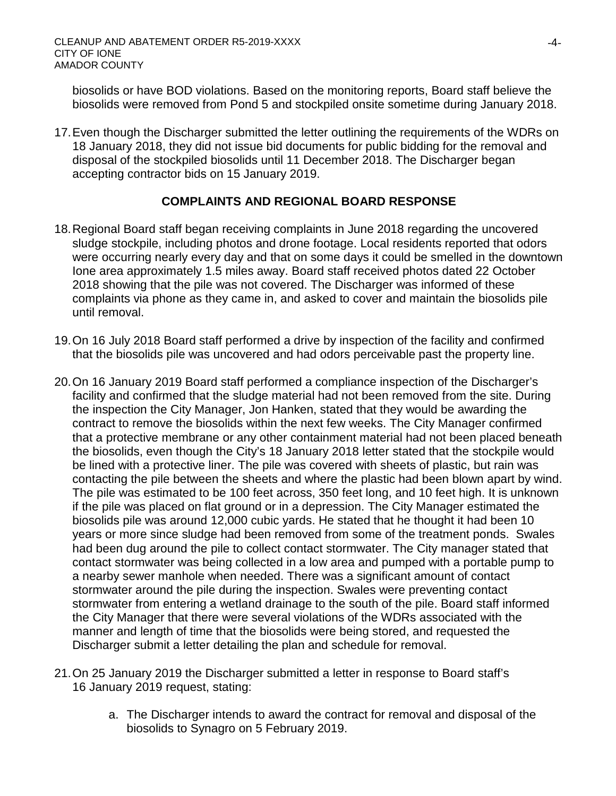biosolids or have BOD violations. Based on the monitoring reports, Board staff believe the biosolids were removed from Pond 5 and stockpiled onsite sometime during January 2018.

17.Even though the Discharger submitted the letter outlining the requirements of the WDRs on 18 January 2018, they did not issue bid documents for public bidding for the removal and disposal of the stockpiled biosolids until 11 December 2018. The Discharger began accepting contractor bids on 15 January 2019.

### **COMPLAINTS AND REGIONAL BOARD RESPONSE**

- 18.Regional Board staff began receiving complaints in June 2018 regarding the uncovered sludge stockpile, including photos and drone footage. Local residents reported that odors were occurring nearly every day and that on some days it could be smelled in the downtown Ione area approximately 1.5 miles away. Board staff received photos dated 22 October 2018 showing that the pile was not covered. The Discharger was informed of these complaints via phone as they came in, and asked to cover and maintain the biosolids pile until removal.
- 19.On 16 July 2018 Board staff performed a drive by inspection of the facility and confirmed that the biosolids pile was uncovered and had odors perceivable past the property line.
- 20.On 16 January 2019 Board staff performed a compliance inspection of the Discharger's facility and confirmed that the sludge material had not been removed from the site. During the inspection the City Manager, Jon Hanken, stated that they would be awarding the contract to remove the biosolids within the next few weeks. The City Manager confirmed that a protective membrane or any other containment material had not been placed beneath the biosolids, even though the City's 18 January 2018 letter stated that the stockpile would be lined with a protective liner. The pile was covered with sheets of plastic, but rain was contacting the pile between the sheets and where the plastic had been blown apart by wind. The pile was estimated to be 100 feet across, 350 feet long, and 10 feet high. It is unknown if the pile was placed on flat ground or in a depression. The City Manager estimated the biosolids pile was around 12,000 cubic yards. He stated that he thought it had been 10 years or more since sludge had been removed from some of the treatment ponds. Swales had been dug around the pile to collect contact stormwater. The City manager stated that contact stormwater was being collected in a low area and pumped with a portable pump to a nearby sewer manhole when needed. There was a significant amount of contact stormwater around the pile during the inspection. Swales were preventing contact stormwater from entering a wetland drainage to the south of the pile. Board staff informed the City Manager that there were several violations of the WDRs associated with the manner and length of time that the biosolids were being stored, and requested the Discharger submit a letter detailing the plan and schedule for removal.
- 21.On 25 January 2019 the Discharger submitted a letter in response to Board staff's 16 January 2019 request, stating:
	- a. The Discharger intends to award the contract for removal and disposal of the biosolids to Synagro on 5 February 2019.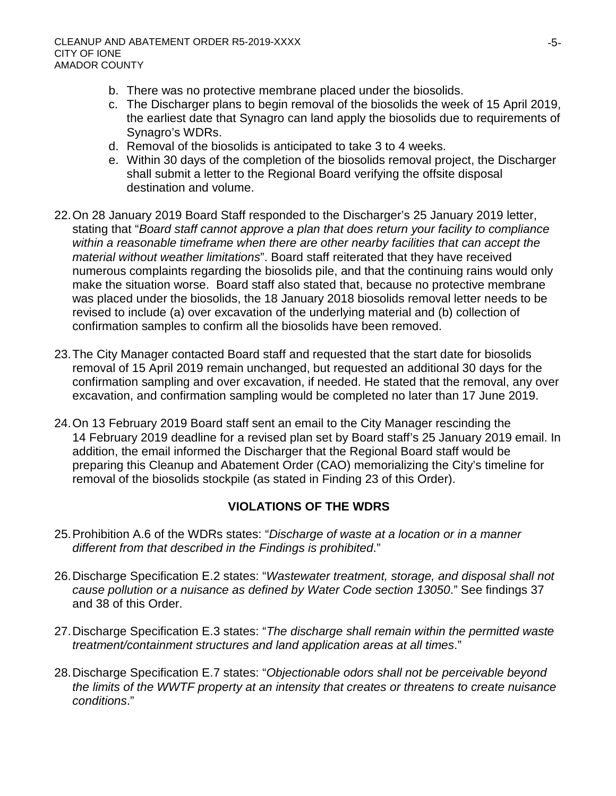- b. There was no protective membrane placed under the biosolids.
- c. The Discharger plans to begin removal of the biosolids the week of 15 April 2019, the earliest date that Synagro can land apply the biosolids due to requirements of Synagro's WDRs.
- d. Removal of the biosolids is anticipated to take 3 to 4 weeks.
- e. Within 30 days of the completion of the biosolids removal project, the Discharger shall submit a letter to the Regional Board verifying the offsite disposal destination and volume.
- 22.On 28 January 2019 Board Staff responded to the Discharger's 25 January 2019 letter, stating that "*Board staff cannot approve a plan that does return your facility to compliance within a reasonable timeframe when there are other nearby facilities that can accept the material without weather limitations*". Board staff reiterated that they have received numerous complaints regarding the biosolids pile, and that the continuing rains would only make the situation worse. Board staff also stated that, because no protective membrane was placed under the biosolids, the 18 January 2018 biosolids removal letter needs to be revised to include (a) over excavation of the underlying material and (b) collection of confirmation samples to confirm all the biosolids have been removed.
- 23.The City Manager contacted Board staff and requested that the start date for biosolids removal of 15 April 2019 remain unchanged, but requested an additional 30 days for the confirmation sampling and over excavation, if needed. He stated that the removal, any over excavation, and confirmation sampling would be completed no later than 17 June 2019.
- 24.On 13 February 2019 Board staff sent an email to the City Manager rescinding the 14 February 2019 deadline for a revised plan set by Board staff's 25 January 2019 email. In addition, the email informed the Discharger that the Regional Board staff would be preparing this Cleanup and Abatement Order (CAO) memorializing the City's timeline for removal of the biosolids stockpile (as stated in Finding 23 of this Order).

# **VIOLATIONS OF THE WDRS**

- 25.Prohibition A.6 of the WDRs states: "*Discharge of waste at a location or in a manner different from that described in the Findings is prohibited*."
- 26.Discharge Specification E.2 states: "*Wastewater treatment, storage, and disposal shall not cause pollution or a nuisance as defined by Water Code section 13050*." See findings 37 and 38 of this Order.
- 27.Discharge Specification E.3 states: "*The discharge shall remain within the permitted waste treatment/containment structures and land application areas at all times*."
- 28.Discharge Specification E.7 states: "*Objectionable odors shall not be perceivable beyond the limits of the WWTF property at an intensity that creates or threatens to create nuisance conditions*."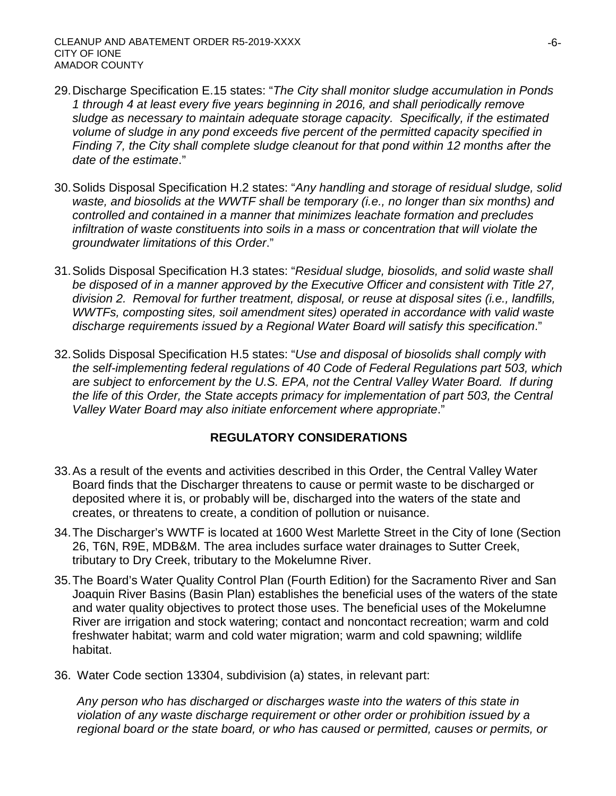- 29.Discharge Specification E.15 states: "*The City shall monitor sludge accumulation in Ponds 1 through 4 at least every five years beginning in 2016, and shall periodically remove sludge as necessary to maintain adequate storage capacity. Specifically, if the estimated volume of sludge in any pond exceeds five percent of the permitted capacity specified in Finding 7, the City shall complete sludge cleanout for that pond within 12 months after the date of the estimate*."
- 30.Solids Disposal Specification H.2 states: "*Any handling and storage of residual sludge, solid waste, and biosolids at the WWTF shall be temporary (i.e., no longer than six months) and controlled and contained in a manner that minimizes leachate formation and precludes infiltration of waste constituents into soils in a mass or concentration that will violate the groundwater limitations of this Order*."
- 31.Solids Disposal Specification H.3 states: "*Residual sludge, biosolids, and solid waste shall be disposed of in a manner approved by the Executive Officer and consistent with Title 27, division 2. Removal for further treatment, disposal, or reuse at disposal sites (i.e., landfills, WWTFs, composting sites, soil amendment sites) operated in accordance with valid waste discharge requirements issued by a Regional Water Board will satisfy this specification*."
- 32.Solids Disposal Specification H.5 states: "*Use and disposal of biosolids shall comply with the self-implementing federal regulations of 40 Code of Federal Regulations part 503, which are subject to enforcement by the U.S. EPA, not the Central Valley Water Board. If during the life of this Order, the State accepts primacy for implementation of part 503, the Central Valley Water Board may also initiate enforcement where appropriate*."

# **REGULATORY CONSIDERATIONS**

- 33.As a result of the events and activities described in this Order, the Central Valley Water Board finds that the Discharger threatens to cause or permit waste to be discharged or deposited where it is, or probably will be, discharged into the waters of the state and creates, or threatens to create, a condition of pollution or nuisance.
- 34.The Discharger's WWTF is located at 1600 West Marlette Street in the City of Ione (Section 26, T6N, R9E, MDB&M. The area includes surface water drainages to Sutter Creek, tributary to Dry Creek, tributary to the Mokelumne River.
- 35.The Board's Water Quality Control Plan (Fourth Edition) for the Sacramento River and San Joaquin River Basins (Basin Plan) establishes the beneficial uses of the waters of the state and water quality objectives to protect those uses. The beneficial uses of the Mokelumne River are irrigation and stock watering; contact and noncontact recreation; warm and cold freshwater habitat; warm and cold water migration; warm and cold spawning; wildlife habitat.
- 36. Water Code section 13304, subdivision (a) states, in relevant part:

*Any person who has discharged or discharges waste into the waters of this state in violation of any waste discharge requirement or other order or prohibition issued by a regional board or the state board, or who has caused or permitted, causes or permits, or*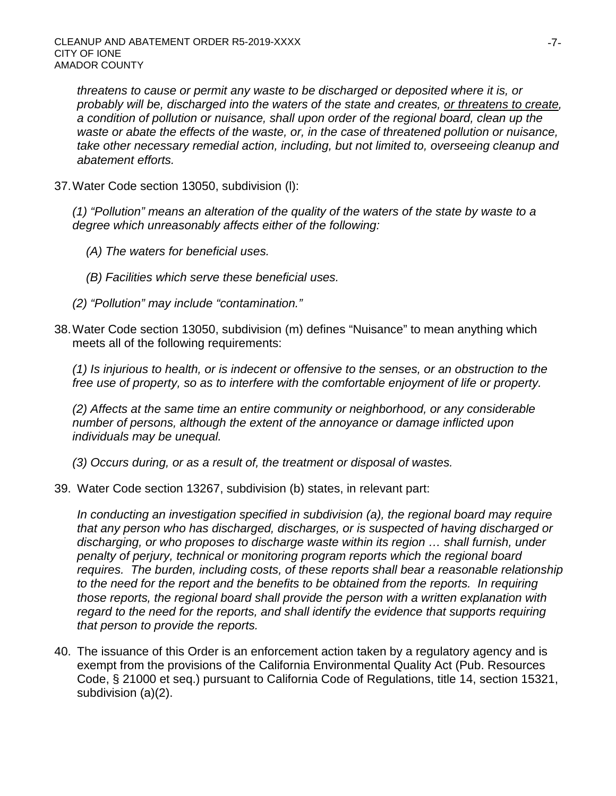*threatens to cause or permit any waste to be discharged or deposited where it is, or probably will be, discharged into the waters of the state and creates, or threatens to create, a condition of pollution or nuisance, shall upon order of the regional board, clean up the waste or abate the effects of the waste, or, in the case of threatened pollution or nuisance, take other necessary remedial action, including, but not limited to, overseeing cleanup and abatement efforts.*

37.Water Code section 13050, subdivision (l):

*(1) "Pollution" means an alteration of the quality of the waters of the state by waste to a degree which unreasonably affects either of the following:*

- *(A) The waters for beneficial uses.*
- *(B) Facilities which serve these beneficial uses.*
- *(2) "Pollution" may include "contamination."*
- 38.Water Code section 13050, subdivision (m) defines "Nuisance" to mean anything which meets all of the following requirements:

*(1) Is injurious to health, or is indecent or offensive to the senses, or an obstruction to the free use of property, so as to interfere with the comfortable enjoyment of life or property.* 

*(2) Affects at the same time an entire community or neighborhood, or any considerable number of persons, although the extent of the annoyance or damage inflicted upon individuals may be unequal.* 

*(3) Occurs during, or as a result of, the treatment or disposal of wastes.*

39. Water Code section 13267, subdivision (b) states, in relevant part:

*In conducting an investigation specified in subdivision (a), the regional board may require that any person who has discharged, discharges, or is suspected of having discharged or discharging, or who proposes to discharge waste within its region … shall furnish, under penalty of perjury, technical or monitoring program reports which the regional board requires. The burden, including costs, of these reports shall bear a reasonable relationship*  to the need for the report and the benefits to be obtained from the reports. In requiring *those reports, the regional board shall provide the person with a written explanation with*  regard to the need for the reports, and shall identify the evidence that supports requiring *that person to provide the reports.*

40. The issuance of this Order is an enforcement action taken by a regulatory agency and is exempt from the provisions of the California Environmental Quality Act (Pub. Resources Code, § 21000 et seq.) pursuant to California Code of Regulations, title 14, section 15321, subdivision (a)(2).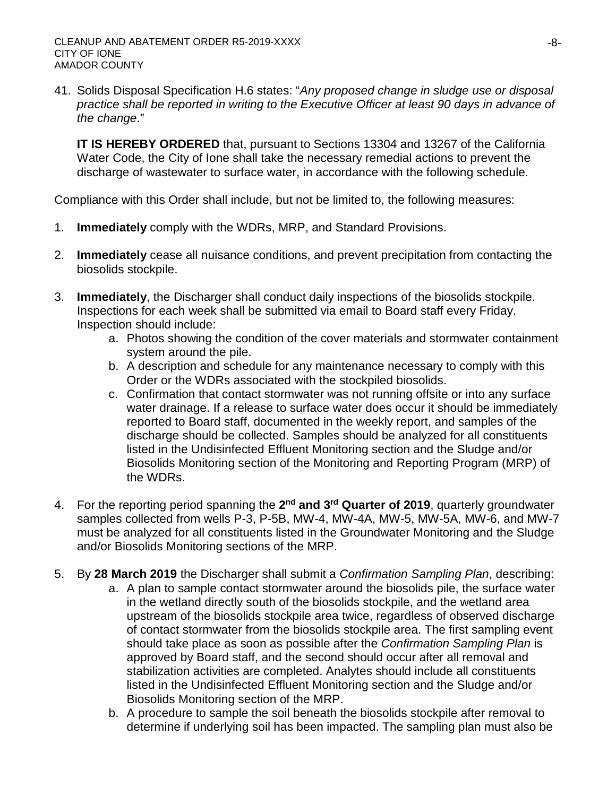41. Solids Disposal Specification H.6 states: "*Any proposed change in sludge use or disposal practice shall be reported in writing to the Executive Officer at least 90 days in advance of the change*."

**IT IS HEREBY ORDERED** that, pursuant to Sections 13304 and 13267 of the California Water Code, the City of Ione shall take the necessary remedial actions to prevent the discharge of wastewater to surface water, in accordance with the following schedule.

Compliance with this Order shall include, but not be limited to, the following measures:

- 1. **Immediately** comply with the WDRs, MRP, and Standard Provisions.
- 2. **Immediately** cease all nuisance conditions, and prevent precipitation from contacting the biosolids stockpile.
- 3. **Immediately**, the Discharger shall conduct daily inspections of the biosolids stockpile. Inspections for each week shall be submitted via email to Board staff every Friday. Inspection should include:
	- a. Photos showing the condition of the cover materials and stormwater containment system around the pile.
	- b. A description and schedule for any maintenance necessary to comply with this Order or the WDRs associated with the stockpiled biosolids.
	- c. Confirmation that contact stormwater was not running offsite or into any surface water drainage. If a release to surface water does occur it should be immediately reported to Board staff, documented in the weekly report, and samples of the discharge should be collected. Samples should be analyzed for all constituents listed in the Undisinfected Effluent Monitoring section and the Sludge and/or Biosolids Monitoring section of the Monitoring and Reporting Program (MRP) of the WDRs.
- 4. For the reporting period spanning the **2nd and 3rd Quarter of 2019**, quarterly groundwater samples collected from wells P-3, P-5B, MW-4, MW-4A, MW-5, MW-5A, MW-6, and MW-7 must be analyzed for all constituents listed in the Groundwater Monitoring and the Sludge and/or Biosolids Monitoring sections of the MRP.
- 5. By **28 March 2019** the Discharger shall submit a *Confirmation Sampling Plan*, describing:
	- a. A plan to sample contact stormwater around the biosolids pile, the surface water in the wetland directly south of the biosolids stockpile, and the wetland area upstream of the biosolids stockpile area twice, regardless of observed discharge of contact stormwater from the biosolids stockpile area. The first sampling event should take place as soon as possible after the *Confirmation Sampling Plan* is approved by Board staff, and the second should occur after all removal and stabilization activities are completed. Analytes should include all constituents listed in the Undisinfected Effluent Monitoring section and the Sludge and/or Biosolids Monitoring section of the MRP.
	- b. A procedure to sample the soil beneath the biosolids stockpile after removal to determine if underlying soil has been impacted. The sampling plan must also be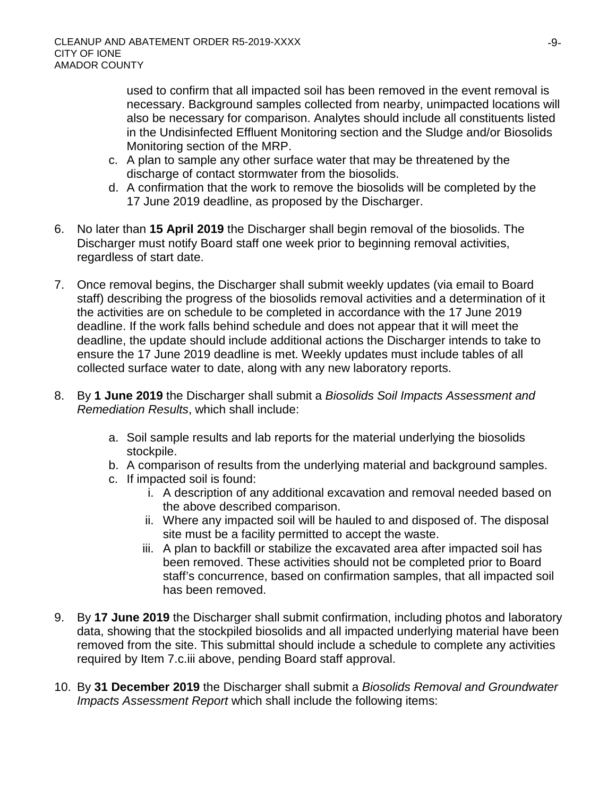used to confirm that all impacted soil has been removed in the event removal is necessary. Background samples collected from nearby, unimpacted locations will also be necessary for comparison. Analytes should include all constituents listed in the Undisinfected Effluent Monitoring section and the Sludge and/or Biosolids Monitoring section of the MRP.

- c. A plan to sample any other surface water that may be threatened by the discharge of contact stormwater from the biosolids.
- d. A confirmation that the work to remove the biosolids will be completed by the 17 June 2019 deadline, as proposed by the Discharger.
- 6. No later than **15 April 2019** the Discharger shall begin removal of the biosolids. The Discharger must notify Board staff one week prior to beginning removal activities, regardless of start date.
- 7. Once removal begins, the Discharger shall submit weekly updates (via email to Board staff) describing the progress of the biosolids removal activities and a determination of it the activities are on schedule to be completed in accordance with the 17 June 2019 deadline. If the work falls behind schedule and does not appear that it will meet the deadline, the update should include additional actions the Discharger intends to take to ensure the 17 June 2019 deadline is met. Weekly updates must include tables of all collected surface water to date, along with any new laboratory reports.
- 8. By **1 June 2019** the Discharger shall submit a *Biosolids Soil Impacts Assessment and Remediation Results*, which shall include:
	- a. Soil sample results and lab reports for the material underlying the biosolids stockpile.
	- b. A comparison of results from the underlying material and background samples.
	- c. If impacted soil is found:
		- i. A description of any additional excavation and removal needed based on the above described comparison.
		- ii. Where any impacted soil will be hauled to and disposed of. The disposal site must be a facility permitted to accept the waste.
		- iii. A plan to backfill or stabilize the excavated area after impacted soil has been removed. These activities should not be completed prior to Board staff's concurrence, based on confirmation samples, that all impacted soil has been removed.
- 9. By **17 June 2019** the Discharger shall submit confirmation, including photos and laboratory data, showing that the stockpiled biosolids and all impacted underlying material have been removed from the site. This submittal should include a schedule to complete any activities required by Item 7.c.iii above, pending Board staff approval.
- 10. By **31 December 2019** the Discharger shall submit a *Biosolids Removal and Groundwater Impacts Assessment Report* which shall include the following items: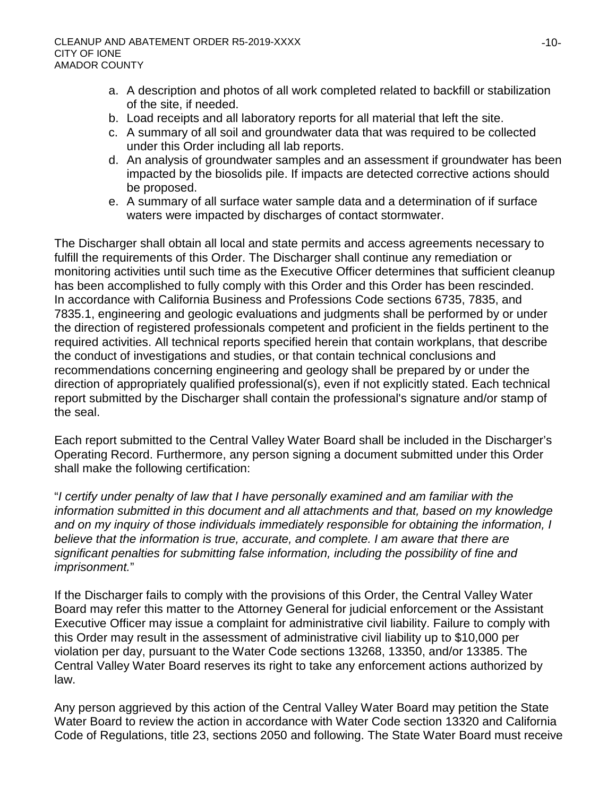- a. A description and photos of all work completed related to backfill or stabilization of the site, if needed.
- b. Load receipts and all laboratory reports for all material that left the site.
- c. A summary of all soil and groundwater data that was required to be collected under this Order including all lab reports.
- d. An analysis of groundwater samples and an assessment if groundwater has been impacted by the biosolids pile. If impacts are detected corrective actions should be proposed.
- e. A summary of all surface water sample data and a determination of if surface waters were impacted by discharges of contact stormwater.

The Discharger shall obtain all local and state permits and access agreements necessary to fulfill the requirements of this Order. The Discharger shall continue any remediation or monitoring activities until such time as the Executive Officer determines that sufficient cleanup has been accomplished to fully comply with this Order and this Order has been rescinded. In accordance with California Business and Professions Code sections 6735, 7835, and 7835.1, engineering and geologic evaluations and judgments shall be performed by or under the direction of registered professionals competent and proficient in the fields pertinent to the required activities. All technical reports specified herein that contain workplans, that describe the conduct of investigations and studies, or that contain technical conclusions and recommendations concerning engineering and geology shall be prepared by or under the direction of appropriately qualified professional(s), even if not explicitly stated. Each technical report submitted by the Discharger shall contain the professional's signature and/or stamp of the seal.

Each report submitted to the Central Valley Water Board shall be included in the Discharger's Operating Record. Furthermore, any person signing a document submitted under this Order shall make the following certification:

"*I certify under penalty of law that I have personally examined and am familiar with the information submitted in this document and all attachments and that, based on my knowledge and on my inquiry of those individuals immediately responsible for obtaining the information, I believe that the information is true, accurate, and complete. I am aware that there are significant penalties for submitting false information, including the possibility of fine and imprisonment.*"

If the Discharger fails to comply with the provisions of this Order, the Central Valley Water Board may refer this matter to the Attorney General for judicial enforcement or the Assistant Executive Officer may issue a complaint for administrative civil liability. Failure to comply with this Order may result in the assessment of administrative civil liability up to \$10,000 per violation per day, pursuant to the Water Code sections 13268, 13350, and/or 13385. The Central Valley Water Board reserves its right to take any enforcement actions authorized by law.

Any person aggrieved by this action of the Central Valley Water Board may petition the State Water Board to review the action in accordance with Water Code section 13320 and California Code of Regulations, title 23, sections 2050 and following. The State Water Board must receive